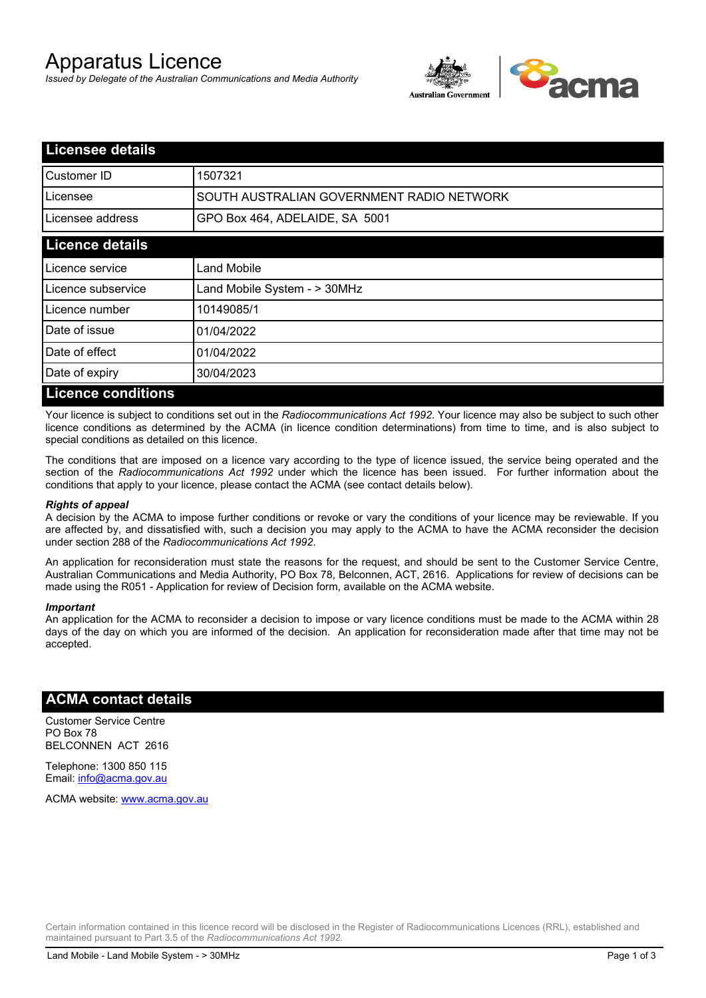# Apparatus Licence

*Issued by Delegate of the Australian Communications and Media Authority*



| <b>Licensee details</b>   |                                           |  |
|---------------------------|-------------------------------------------|--|
| <b>I</b> Customer ID      | 1507321                                   |  |
| Licensee                  | SOUTH AUSTRALIAN GOVERNMENT RADIO NETWORK |  |
| Licensee address          | GPO Box 464, ADELAIDE, SA 5001            |  |
| <b>Licence details</b>    |                                           |  |
| Licence service           | <b>Land Mobile</b>                        |  |
| Licence subservice        | Land Mobile System - > 30MHz              |  |
| Licence number            | 10149085/1                                |  |
| Date of issue             | 01/04/2022                                |  |
| Date of effect            | 01/04/2022                                |  |
| Date of expiry            | 30/04/2023                                |  |
| <b>Licence conditions</b> |                                           |  |

Your licence is subject to conditions set out in the *Radiocommunications Act 1992*. Your licence may also be subject to such other licence conditions as determined by the ACMA (in licence condition determinations) from time to time, and is also subject to special conditions as detailed on this licence.

The conditions that are imposed on a licence vary according to the type of licence issued, the service being operated and the section of the *Radiocommunications Act 1992* under which the licence has been issued. For further information about the conditions that apply to your licence, please contact the ACMA (see contact details below).

#### *Rights of appeal*

A decision by the ACMA to impose further conditions or revoke or vary the conditions of your licence may be reviewable. If you are affected by, and dissatisfied with, such a decision you may apply to the ACMA to have the ACMA reconsider the decision under section 288 of the *Radiocommunications Act 1992*.

An application for reconsideration must state the reasons for the request, and should be sent to the Customer Service Centre, Australian Communications and Media Authority, PO Box 78, Belconnen, ACT, 2616. Applications for review of decisions can be made using the R051 - Application for review of Decision form, available on the ACMA website.

#### *Important*

An application for the ACMA to reconsider a decision to impose or vary licence conditions must be made to the ACMA within 28 days of the day on which you are informed of the decision. An application for reconsideration made after that time may not be accepted.

#### **ACMA contact details**

Customer Service Centre PO Box 78 BELCONNEN ACT 2616

Telephone: 1300 850 115 Email: info@acma.gov.au

ACMA website: www.acma.gov.au

Certain information contained in this licence record will be disclosed in the Register of Radiocommunications Licences (RRL), established and maintained pursuant to Part 3.5 of the *Radiocommunications Act 1992.*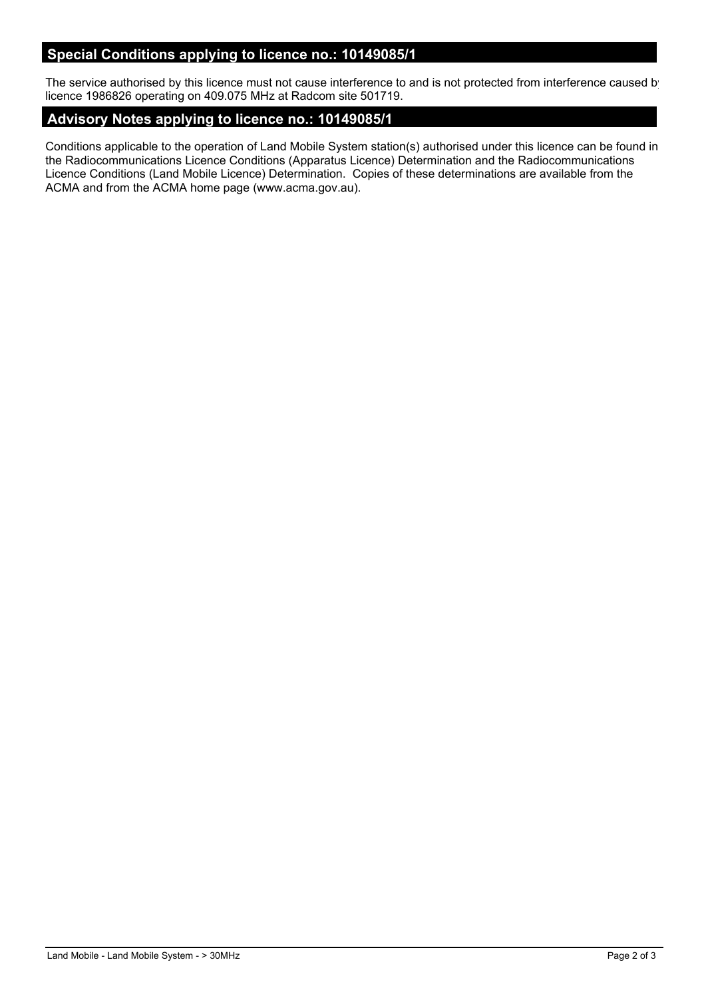# **Special Conditions applying to licence no.: 10149085/1**

The service authorised by this licence must not cause interference to and is not protected from interference caused by licence 1986826 operating on 409.075 MHz at Radcom site 501719.

#### **Advisory Notes applying to licence no.: 10149085/1**

Conditions applicable to the operation of Land Mobile System station(s) authorised under this licence can be found in the Radiocommunications Licence Conditions (Apparatus Licence) Determination and the Radiocommunications Licence Conditions (Land Mobile Licence) Determination. Copies of these determinations are available from the ACMA and from the ACMA home page (www.acma.gov.au).